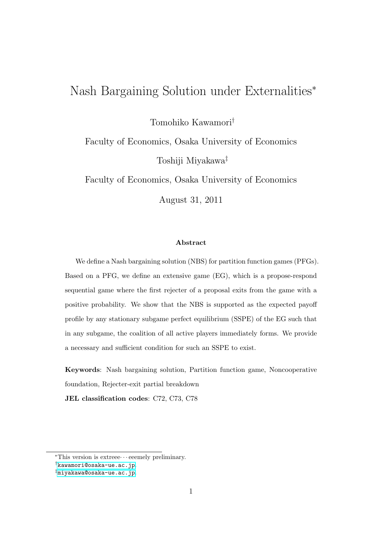# Nash Bargaining Solution under Externalities*<sup>∗</sup>*

Tomohiko Kawamori*†*

Faculty of Economics, Osaka University of Economics Toshiji Miyakawa*‡*

Faculty of Economics, Osaka University of Economics

August 31, 2011

#### **Abstract**

We define a Nash bargaining solution (NBS) for partition function games (PFGs). Based on a PFG, we define an extensive game (EG), which is a propose-respond sequential game where the first rejecter of a proposal exits from the game with a positive probability. We show that the NBS is supported as the expected payoff profile by any stationary subgame perfect equilibrium (SSPE) of the EG such that in any subgame, the coalition of all active players immediately forms. We provide a necessary and sufficient condition for such an SSPE to exist.

**Keywords**: Nash bargaining solution, Partition function game, Noncooperative foundation, Rejecter-exit partial breakdown

**JEL classification codes**: C72, C73, C78

*<sup>∗</sup>*This version is extreee*· · ·* eeemely preliminary.

*<sup>†</sup>*[kawamori@osaka-ue.ac.jp](mailto:kawamori@osaka-ue.ac.jp).

*<sup>‡</sup>*[miyakawa@osaka-ue.ac.jp](mailto:miyakawa@osaka-ue.ac.jp).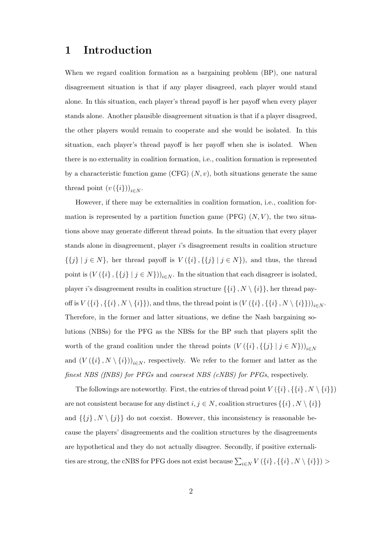## **1 Introduction**

When we regard coalition formation as a bargaining problem (BP), one natural disagreement situation is that if any player disagreed, each player would stand alone. In this situation, each player's thread payoff is her payoff when every player stands alone. Another plausible disagreement situation is that if a player disagreed, the other players would remain to cooperate and she would be isolated. In this situation, each player's thread payoff is her payoff when she is isolated. When there is no externality in coalition formation, i.e., coalition formation is represented by a characteristic function game (CFG)  $(N, v)$ , both situations generate the same thread point  $(v(\{i\}))_{i \in N}$ .

However, if there may be externalities in coalition formation, i.e., coalition formation is represented by a partition function game  $(PFG)$   $(N, V)$ , the two situations above may generate different thread points. In the situation that every player stands alone in disagreement, player *i*'s disagreement results in coalition structure *{{j} | j ∈ N}*, her thread payoff is *V* (*{i} , {{j} | j ∈ N}*), and thus, the thread point is  $(V(\{i\}, \{\{j\} \mid j \in N\}))_{i \in N}$ . In the situation that each disagreer is isolated, player *i*'s disagreement results in coalition structure  $\{\{i\}, N \setminus \{i\}\}\)$ , her thread payoff is  $V(\{i\}, \{\{i\}, N \setminus \{i\}\}),$  and thus, the thread point is  $(V(\{i\}, \{\{i\}, N \setminus \{i\}\}))_{i \in N}.$ Therefore, in the former and latter situations, we define the Nash bargaining solutions (NBSs) for the PFG as the NBSs for the BP such that players split the worth of the grand coalition under the thread points  $(V({i}, {i}) | j \in N)$ )<sub>*i* $\in N$ </sub> and  $(V(\{i\}, N \setminus \{i\}))_{i \in N}$ , respectively. We refer to the former and latter as the *finest NBS (fNBS) for PFGs* and *coarsest NBS (cNBS) for PFGs*, respectively.

The followings are noteworthy. First, the entries of thread point  $V(\{i\}, \{\{i\}, N \setminus \{i\}\})$ are not consistent because for any distinct  $i, j \in N$ , coalition structures  $\{\{i\}, N \setminus \{i\}\}$ and  $\{\{j\}, N \setminus \{j\}\}\$  do not coexist. However, this inconsistency is reasonable because the players' disagreements and the coalition structures by the disagreements are hypothetical and they do not actually disagree. Secondly, if positive externali- $\sum_{i \in N} V(\{i\}, \{\{i\}, N \setminus \{i\}\})$  >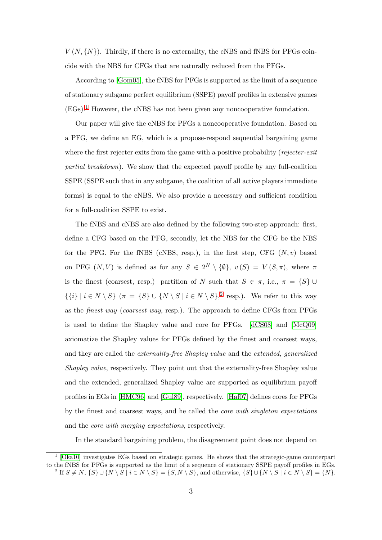$V(N, \{N\})$ . Thirdly, if there is no externality, the cNBS and fNBS for PFGs coincide with the NBS for CFGs that are naturally reduced from the PFGs.

According to [\[Gom05\]](#page-19-0), the fNBS for PFGs is supported as the limit of a sequence of stationary subgame perfect equilibrium (SSPE) payoff profiles in extensive games  $(EGs).<sup>1</sup>$  $(EGs).<sup>1</sup>$  $(EGs).<sup>1</sup>$  However, the cNBS has not been given any noncooperative foundation.

Our paper will give the cNBS for PFGs a noncooperative foundation. Based on a PFG, we define an EG, which is a propose-respond sequential bargaining game where the first rejecter exits from the game with a positive probability (*rejecter-exit partial breakdown*). We show that the expected payoff profile by any full-coalition SSPE (SSPE such that in any subgame, the coalition of all active players immediate forms) is equal to the cNBS. We also provide a necessary and sufficient condition for a full-coalition SSPE to exist.

The fNBS and cNBS are also defined by the following two-step approach: first, define a CFG based on the PFG, secondly, let the NBS for the CFG be the NBS for the PFG. For the fNBS (cNBS, resp.), in the first step, CFG  $(N, v)$  based on PFG  $(N, V)$  is defined as for any  $S \in 2^N \setminus \{\emptyset\}, v(S) = V(S, \pi)$ , where  $\pi$ is the finest (coarsest, resp.) partition of *N* such that  $S \in \pi$ , i.e.,  $\pi = \{S\} \cup$  $\{\{i\} \mid i \in N \setminus S\}$   $(\pi = \{S\} \cup \{N \setminus S \mid i \in N \setminus S\},^2$  $(\pi = \{S\} \cup \{N \setminus S \mid i \in N \setminus S\},^2$  resp.). We refer to this way as the *finest way* (*coarsest way*, resp.). The approach to define CFGs from PFGs is used to define the Shapley value and core for PFGs. [\[dCS08\]](#page-19-1) and [\[McQ09\]](#page-19-2) axiomatize the Shapley values for PFGs defined by the finest and coarsest ways, and they are called the *externality-free Shapley value* and the *extended, generalized Shapley value*, respectively. They point out that the externality-free Shapley value and the extended, generalized Shapley value are supported as equilibrium payoff profiles in EGs in [\[HMC96\]](#page-19-3) and [\[Gul89\]](#page-19-4), respectively. [\[Haf07\]](#page-19-5) defines cores for PFGs by the finest and coarsest ways, and he called the *core with singleton expectations* and the *core with merging expectations*, respectively.

In the standard bargaining problem, the disagreement point does not depend on

<span id="page-2-1"></span><span id="page-2-0"></span><sup>1</sup> [\[Oka10\]](#page-20-0) investigates EGs based on strategic games. He shows that the strategic-game counterpart to the fNBS for PFGs is supported as the limit of a sequence of stationary SSPE payoff profiles in EGs. <sup>2</sup> If  $S \neq N$ ,  $\{S\} \cup \{N \setminus S \mid i \in N \setminus S\} = \{S, N \setminus S\}$ , and otherwise,  $\{S\} \cup \{N \setminus S \mid i \in N \setminus S\} = \{N\}.$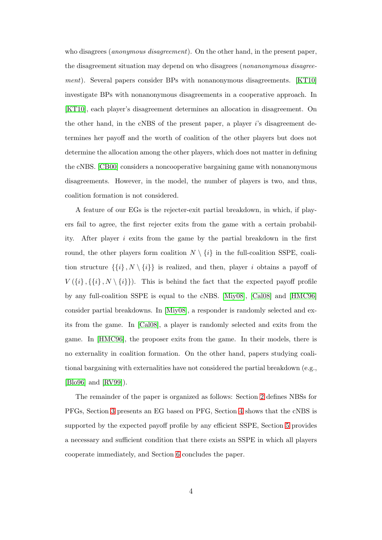who disagrees (*anonymous disagreement*). On the other hand, in the present paper, the disagreement situation may depend on who disagrees (*nonanonymous disagreement*). Several papers consider BPs with nonanonymous disagreements. [\[KT10\]](#page-19-6) investigate BPs with nonanonymous disagreements in a cooperative approach. In [\[KT10\]](#page-19-6), each player's disagreement determines an allocation in disagreement. On the other hand, in the cNBS of the present paper, a player *i*'s disagreement determines her payoff and the worth of coalition of the other players but does not determine the allocation among the other players, which does not matter in defining the cNBS. [\[CB00\]](#page-19-7) considers a noncooperative bargaining game with nonanonymous disagreements. However, in the model, the number of players is two, and thus, coalition formation is not considered.

A feature of our EGs is the rejecter-exit partial breakdown, in which, if players fail to agree, the first rejecter exits from the game with a certain probability. After player *i* exits from the game by the partial breakdown in the first round, the other players form coalition  $N \setminus \{i\}$  in the full-coalition SSPE, coalition structure  $\{\{i\}, N \setminus \{i\}\}\$ is realized, and then, player *i* obtains a payoff of  $V(\{i\}, \{\{i\}, N \setminus \{i\}\})$ . This is behind the fact that the expected payoff profile by any full-coalition SSPE is equal to the cNBS. [\[Miy08\]](#page-19-8), [\[Cal08\]](#page-19-9) and [\[HMC96\]](#page-19-3) consider partial breakdowns. In [\[Miy08\]](#page-19-8), a responder is randomly selected and exits from the game. In [\[Cal08\]](#page-19-9), a player is randomly selected and exits from the game. In [\[HMC96\]](#page-19-3), the proposer exits from the game. In their models, there is no externality in coalition formation. On the other hand, papers studying coalitional bargaining with externalities have not considered the partial breakdown (e.g., [\[Blo96\]](#page-19-10) and [\[RV99\]](#page-20-1)).

The remainder of the paper is organized as follows: Section [2](#page-4-0) defines NBSs for PFGs, Section [3](#page-7-0) presents an EG based on PFG, Section [4](#page-8-0) shows that the cNBS is supported by the expected payoff profile by any efficient SSPE, Section [5](#page-9-0) provides a necessary and sufficient condition that there exists an SSPE in which all players cooperate immediately, and Section [6](#page-13-0) concludes the paper.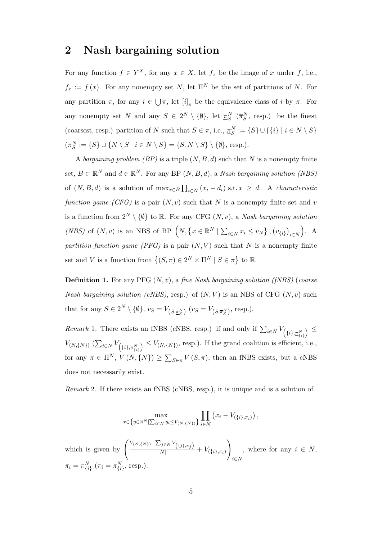### <span id="page-4-0"></span>**2 Nash bargaining solution**

For any function  $f \in Y^X$ , for any  $x \in X$ , let  $f_x$  be the image of *x* under *f*, i.e.,  $f_x := f(x)$ . For any nonempty set *N*, let  $\Pi^N$  be the set of partitions of *N*. For any partition  $\pi$ , for any  $i \in \bigcup \pi$ , let  $[i]_{\pi}$  be the equivalence class of *i* by  $\pi$ . For any nonempty set *N* and any  $S \in 2^N \setminus \{0\}$ , let  $\pi_S^N$  ( $\overline{\pi}_S^N$ , resp.) be the finest (coarsest, resp.) partition of *N* such that  $S \in \pi$ , i.e.,  $\underline{\pi}_S^N := \{S\} \cup \{\{i\} \mid i \in N \setminus S\}$  $(\overline{\pi}_S^N) := \{ S \} \cup \{ N \setminus S \mid i \in N \setminus S \} = \{ S, N \setminus S \} \setminus \{ \emptyset \}, \text{ resp. } \}.$ 

A *bargaining problem (BP)* is a triple (*N, B, d*) such that *N* is a nonempty finite set,  $B \subset \mathbb{R}^N$  and  $d \in \mathbb{R}^N$ . For any BP  $(N, B, d)$ , a *Nash bargaining solution (NBS)* of  $(N, B, d)$  is a solution of  $\max_{x \in B} \prod_{i \in N} (x_i - d_i)$  s.t.  $x \geq d$ . A *characteristic function game (CFG)* is a pair  $(N, v)$  such that *N* is a nonempty finite set and *v* is a function from  $2^N \setminus \{0\}$  to R. For any CFG  $(N, v)$ , a *Nash bargaining solution* (*NBS*) of  $(N, v)$  is an NBS of BP  $\left(N, \{x \in \mathbb{R}^N \mid \sum_{i \in N} x_i \le v_N\}, (v_{\{i\}})_{i \in N}\right)$ ) . A *partition function game (PFG)* is a pair  $(N, V)$  such that *N* is a nonempty finite set and *V* is a function from  $\{(S,\pi) \in 2^N \times \Pi^N \mid S \in \pi\}$  to R.

**Definition 1.** For any PFG (*N, v*), a *fine Nash bargaining solution (fNBS)* (*coarse Nash bargaining solution (cNBS)*, resp.) of  $(N, V)$  is an NBS of CFG  $(N, v)$  such that for any  $S \in 2^N \setminus \{ \emptyset \}, v_S = V_{(S, \pi_S^N)} (v_S = V_{(S, \overline{\pi}_S^N)}, \text{resp.}).$ 

*Remark* 1. There exists an fNBS (cNBS, resp.) if and only if  $\sum_{i \in N} V_{\left(\{i\}, \pi_{\{i\}}^N\right)} \leq$  $V_{(N, \{N\})}$   $(\sum_{i \in N} V_{\left(\{i\}, \overline{\pi}_{\{i\}}^N\right)} \leq V_{(N, \{N\})}$ , resp.). If the grand coalition is efficient, i.e., for any  $\pi \in \Pi^N$ ,  $V(N, \{N\}) \ge \sum_{S \in \pi} V(S, \pi)$ , then an fNBS exists, but a cNBS does not necessarily exist.

*Remark* 2*.* If there exists an fNBS (cNBS, resp.), it is unique and is a solution of

$$
\max_{x \in \{y \in \mathbb{R}^N | \sum_{i \in N} y_i \le V_{(N, \{N\})} \}} \prod_{i \in N} (x_i - V_{(\{i\}, \pi_i)}),
$$

which is given by  $\left( \frac{V_{(N, \{N\})} - \sum_{j \in N} V_{(\{j\}, \pi_j)}}{|N|} + V_{(\{i\}, \pi_i)} \right)$  $\setminus$ *i∈N* , where for any  $i \in N$ ,  $\pi_i = \pi_{\{i\}}^N$  ( $\pi_i = \overline{\pi}_{\{i\}}^N$ , resp.).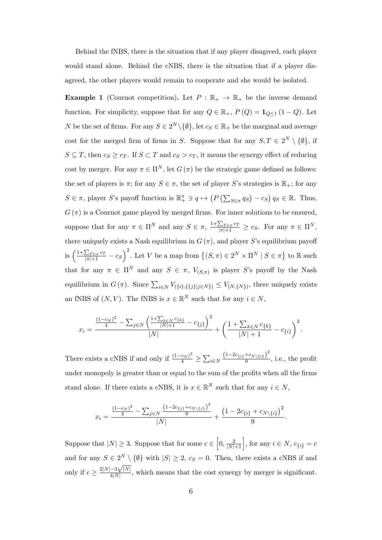Behind the fNBS, there is the situation that if any player disagreed, each player would stand alone. Behind the cNBS, there is the situation that if a player disagreed, the other players would remain to cooperate and she would be isolated.

<span id="page-5-0"></span>**Example 1** (Cournot competition). Let  $P : \mathbb{R}_+ \to \mathbb{R}_+$  be the inverse demand function. For simplicity, suppose that for any  $Q \in \mathbb{R}_+$ ,  $P(Q) = \mathbf{1}_{Q \leq 1} (1 - Q)$ . Let *N* be the set of firms. For any  $S \in 2^N \setminus \{\emptyset\}$ , let  $c_S \in \mathbb{R}_+$  be the marginal and average cost for the merged firm of firms in *S*. Suppose that for any  $S, T \in 2^N \setminus \{0\}$ , if  $S \subseteq T$ , then  $c_S \ge c_T$ . If  $S \subset T$  and  $c_S > c_T$ , it means the synergy effect of reducing cost by merger. For any  $\pi \in \Pi^N$ , let  $G(\pi)$  be the strategic game defined as follows: the set of players is  $\pi$ ; for any  $S \in \pi$ , the set of player *S*'s strategies is  $\mathbb{R}_+$ ; for any  $S \in \pi$ , player S's payoff function is  $\mathbb{R}^{\pi}_{+} \ni q \mapsto (P(\sum_{S \in \pi} q_{S}) - c_{S}) q_{S} \in \mathbb{R}$ . Thus,  $G(\pi)$  is a Cournot game played by merged firms. For inner solutions to be ensured. suppose that for any  $\pi \in \Pi^N$  and any  $S \in \pi$ ,  $\frac{1+\sum_{T \in \pi} c_T}{|\pi|+1} \geq c_S$ . For any  $\pi \in \Pi^N$ , there uniquely exists a Nash equilibrium in  $G(\pi)$ , and player *S*'s equilibrium payoff is  $\left(\frac{1+\sum_{T\in\pi}c_T}{|\pi|+1}-c_S\right)^2$ . Let V be a map from  $\{(S,\pi)\in 2^N\times\Pi^N\mid S\in\pi\}$  to R such that for any  $\pi \in \Pi^N$  and any  $S \in \pi$ ,  $V_{(S,\pi)}$  is player *S*'s payoff by the Nash equilibrium in  $G(\pi)$ . Since  $\sum_{i\in N} V_{(\{i\},\{\{j\}|j\in N\})} \leq V_{(N,\{N\})}$ , there uniquely exists an fNBS of  $(N, V)$ . The fNBS is  $x \in \mathbb{R}^N$  such that for any  $i \in N$ ,

$$
x_i = \frac{\frac{(1-c_N)^2}{4} - \sum_{j \in N} \left(\frac{1+\sum_{k \in N} c_{\{k\}}}{|N|+1} - c_{\{j\}}\right)^2}{|N|} + \left(\frac{1+\sum_{k \in N} c_{\{k\}}}{|N|+1} - c_{\{i\}}\right)^2.
$$

There exists a cNBS if and only if  $\frac{(1-c_N)^2}{4} \ge \sum_{i \in N}$  $(1-2c_{\{i\}}+c_{N\setminus\{i\}})^{2}$  $\frac{1}{9}$ , i.e., the profit under monopoly is greater than or equal to the sum of the profits when all the firms stand alone. If there exists a cNBS, it is  $x \in \mathbb{R}^N$  such that for any  $i \in N$ ,

$$
x_i = \frac{\frac{(1-c_N)^2}{4} - \sum_{j \in N} \frac{(1-2c_{\{j\}} + c_{N\setminus\{j\}})^2}{9}}{|N|} + \frac{\left(1 - 2c_{\{i\}} + c_{N\setminus\{i\}}\right)^2}{9}.
$$

Suppose that  $|N| \geq 3$ . Suppose that for some  $c \in (0, \frac{2}{|N|+1})$ , for any  $i \in N$ ,  $c_{\{i\}} = c$ and for any  $S \in 2^N \setminus \{ \emptyset \}$  with  $|S| \geq 2$ ,  $c_S = 0$ . Then, there exists a cNBS if and only if  $c \geq \frac{2|N|-3\sqrt{|N|}}{4|N|}$  $\frac{-3\sqrt{|\Lambda|}}{4|N|}$ , which means that the cost synergy by merger is significant.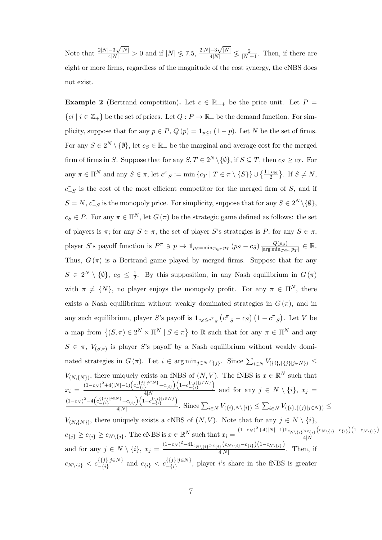Note that <sup>2</sup>*|N|−*<sup>3</sup>  $\frac{-3\sqrt{|N|}}{4|N|} > 0$  and if  $|N| \le 7.5$ ,  $\frac{2|N|-3}{4|N|}$  $\frac{-3\sqrt{|N|}}{4|N|}$   $\leq$   $\frac{2}{|N|+1}$ . Then, if there are eight or more firms, regardless of the magnitude of the cost synergy, the cNBS does not exist.

<span id="page-6-0"></span>**Example 2** (Bertrand competition). Let  $\epsilon \in \mathbb{R}_{++}$  be the price unit. Let  $P =$  $\{ \epsilon i \mid i \in \mathbb{Z}_+ \}$  be the set of prices. Let  $Q: P \to \mathbb{R}_+$  be the demand function. For simplicity, suppose that for any  $p \in P$ ,  $Q(p) = \mathbf{1}_{p \leq 1} (1 - p)$ . Let *N* be the set of firms. For any  $S \in 2^N \setminus \{0\}$ , let  $c_S \in \mathbb{R}_+$  be the marginal and average cost for the merged firm of firms in *S*. Suppose that for any  $S, T \in 2^N \setminus \{\emptyset\}$ , if  $S \subseteq T$ , then  $c_S \geq c_T$ . For any  $\pi \in \Pi^N$  and any  $S \in \pi$ , let  $c_{-S}^{\pi} := \min \{ c_T \mid T \in \pi \setminus \{S\} \} \cup \{ \frac{1+c_N}{2} \}$ . If  $S \neq N$ ,  $c^{\pi}_{-S}$  is the cost of the most efficient competitor for the merged firm of *S*, and if  $S = N$ ,  $c^{\pi}_{-S}$  is the monopoly price. For simplicity, suppose that for any  $S \in 2^N \setminus \{\emptyset\},$  $c_S \in P$ . For any  $\pi \in \Pi^N$ , let  $G(\pi)$  be the strategic game defined as follows: the set of players is  $\pi$ ; for any  $S \in \pi$ , the set of player *S*'s strategies is *P*; for any  $S \in \pi$ , player S's payoff function is  $P^{\pi} \ni p \mapsto \mathbf{1}_{p_S=\min_{T \in \pi} p_T} (p_S - c_S) \frac{Q(p_S)}{\text{arg min}_{T \in \pi} p_T}$  $\frac{Q(p_S)}{|\arg\min_{T \in \pi} p_T|} \in \mathbb{R}.$ Thus,  $G(\pi)$  is a Bertrand game played by merged firms. Suppose that for any  $S \in 2^N \setminus \{\emptyset\}, c_S \leq \frac{1}{2}$  $\frac{1}{2}$ . By this supposition, in any Nash equilibrium in  $G(\pi)$ with  $\pi \neq \{N\}$ , no player enjoys the monopoly profit. For any  $\pi \in \Pi^N$ , there exists a Nash equilibrium without weakly dominated strategies in  $G(\pi)$ , and in any such equilibrium, player S's payoff is  $1_{c_S \leq c_{-S}^{\pi}} (c_{-S}^{\pi} - c_S) (1 - c_{-S}^{\pi})$ . Let V be a map from  $\{(S,\pi) \in 2^N \times \Pi^N \mid S \in \pi\}$  to R such that for any  $\pi \in \Pi^N$  and any  $S \in \pi$ ,  $V_{(S,\pi)}$  is player *S*'s payoff by a Nash equilibrium without weakly dominated strategies in  $G(\pi)$ . Let  $i \in \arg \min_{j \in N} c_{\{j\}}$ . Since  $\sum_{i \in N} V_{\{\{i\},\{\{j\}|j \in N\}} \leq$  $V_{(N, \{N\})}$ , there uniquely exists an fNBS of  $(N, V)$ . The fNBS is  $x \in \mathbb{R}^N$  such that  $x_i = \frac{(1-c_N)^2 + 4(|N|-1) \left(c_{-\{i\}}^{\{\{j\}\}|\neq N\}} - c_{\{i\}}\right) \left(1 - c_{-\{i\}}^{\{\{j\}\}|\neq N\}}\right)}{\frac{4|N|}{4|N|}}$  $\frac{1}{4|N|}$  and for any  $j \in N \setminus \{i\}, x_j =$  $(1-c_N)^2-4\Big(c_{-\{i\}}^{\{\{j\}\}\mathit{j}\in N\}}-c_{\{i\}}\Big)\Big(1-c_{-\{i\}}^{\{\{j\}\}\mathit{j}\in N\}}\Big)$  $\frac{1}{4|N|}\sum_{i,j} \frac{1}{\left(\frac{1}{2}+1\right)!}$ . Since  $\sum_{i\in N} V_{(\{i\},N\setminus\{i\})}\leq \sum_{i\in N} V_{(\{i\},\{\{j\}|j\in N\})}\leq$ *V*<sub>(*N,{N}*</sub>), there uniquely exists a cNBS of  $(N, V)$ . Note that for any  $j \in N \setminus \{i\}$ ,  $c_{\{j\}} \geq c_{\{i\}} \geq c_{N\setminus\{j\}}$ . The cNBS is  $x \in \mathbb{R}^N$  such that  $x_i = \frac{(1-c_N)^2 + 4(|N|-1)\mathbf{1}_{c_{N\setminus\{i\}} > c_{\{i\}}}(c_{N\setminus\{i\}} - c_{\{i\}})(1-c_{N\setminus\{i\}})}{4|N|}$ 4*|N|* and for any  $j \in N \setminus \{i\}$ ,  $x_j = \frac{(1-c_N)^2 - 41c_{N \setminus \{i\}} < c_{\{i\}}(c_N \setminus \{i\}} - c_{\{i\}})(1-c_{N \setminus \{i\}})}{4|N|}$  $\frac{4|N|}{4|N|}$ . Then, if  $c_{N\setminus\{i\}} < c_{-\{i\}}^{\{\{j\}\}\cup\in N}$  and  $c_{\{i\}} < c_{-\{i\}}^{\{\{j\}\}\cup\in N}$ , player *i*'s share in the fNBS is greater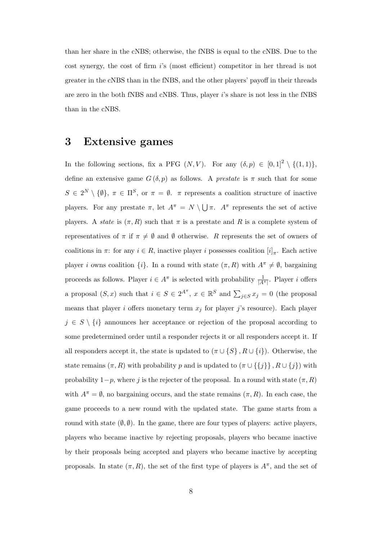than her share in the cNBS; otherwise, the fNBS is equal to the cNBS. Due to the cost synergy, the cost of firm *i*'s (most efficient) competitor in her thread is not greater in the cNBS than in the fNBS, and the other players' payoff in their threads are zero in the both fNBS and cNBS. Thus, player *i*'s share is not less in the fNBS than in the cNBS.

### <span id="page-7-0"></span>**3 Extensive games**

In the following sections, fix a PFG  $(N, V)$ . For any  $(\delta, p) \in [0, 1]^2 \setminus \{(1, 1)\},\$ define an extensive game  $G(\delta, p)$  as follows. A *prestate* is  $\pi$  such that for some  $S \in 2^N \setminus \{\emptyset\}, \pi \in \Pi^S$ , or  $\pi = \emptyset$ .  $\pi$  represents a coalition structure of inactive players. For any prestate  $\pi$ , let  $A^{\pi} = N \setminus \bigcup \pi$ .  $A^{\pi}$  represents the set of active players. A *state* is  $(\pi, R)$  such that  $\pi$  is a prestate and R is a complete system of representatives of  $\pi$  if  $\pi \neq \emptyset$  and  $\emptyset$  otherwise. *R* represents the set of owners of coalitions in  $\pi$ : for any  $i \in R$ , inactive player *i* possesses coalition  $[i]_{\pi}$ . Each active player *i* owns coalition  $\{i\}$ . In a round with state  $(\pi, R)$  with  $A^{\pi} \neq \emptyset$ , bargaining proceeds as follows. Player  $i \in A^{\pi}$  is selected with probability  $\frac{1}{|A^{\pi}|}$ . Player *i* offers a proposal  $(S, x)$  such that  $i \in S \in 2^{A^{\pi}}$ ,  $x \in \mathbb{R}^{S}$  and  $\sum_{j \in S} x_j = 0$  (the proposal means that player *i* offers monetary term  $x_j$  for player *j*'s resource). Each player  $j \in S \setminus \{i\}$  announces her acceptance or rejection of the proposal according to some predetermined order until a responder rejects it or all responders accept it. If all responders accept it, the state is updated to  $(\pi \cup \{S\}, R \cup \{i\})$ . Otherwise, the state remains  $(\pi, R)$  with probability *p* and is updated to  $(\pi \cup \{\{j\}\}, R \cup \{j\})$  with probability  $1-p$ , where *j* is the rejecter of the proposal. In a round with state  $(\pi, R)$ with  $A^{\pi} = \emptyset$ , no bargaining occurs, and the state remains  $(\pi, R)$ . In each case, the game proceeds to a new round with the updated state. The game starts from a round with state  $(\emptyset, \emptyset)$ . In the game, there are four types of players: active players, players who became inactive by rejecting proposals, players who became inactive by their proposals being accepted and players who became inactive by accepting proposals. In state  $(\pi, R)$ , the set of the first type of players is  $A^{\pi}$ , and the set of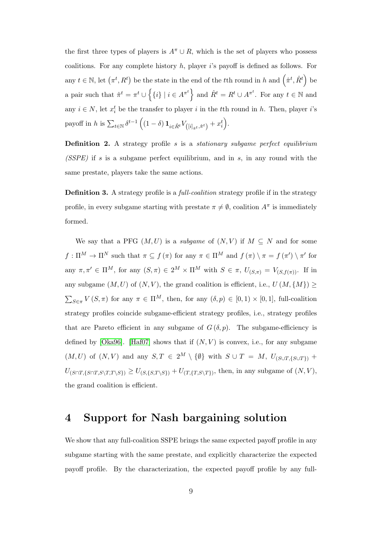the first three types of players is  $A^{\pi} \cup R$ , which is the set of players who possess coalitions. For any complete history *h*, player *i*'s payoff is defined as follows. For any  $t \in \mathbb{N}$ , let  $(\pi^t, R^t)$  be the state in the end of the *t*<sup>th</sup> round in *h* and  $(\hat{\pi}^t, \hat{R}^t)$  be a pair such that  $\hat{\pi}^t = \pi^t \cup \{ \{i\} \mid i \in A^{\pi^t} \}$  and  $\hat{R}^t = R^t \cup A^{\pi^t}$ . For any  $t \in \mathbb{N}$  and any  $i \in N$ , let  $x_i^t$  be the transfer to player *i* in the *t*<sup>th</sup> round in *h*. Then, player *i*'s payoff in *h* is  $\sum_{t \in \mathbb{N}} \delta^{t-1} \left( (1 - \delta) \mathbf{1}_{i \in \hat{R}^t} V_{([i]_{\hat{\pi}^t}, \hat{\pi}^t)} + x_i^t \right).$ 

**Definition 2.** A strategy profile *s* is a *stationary subgame perfect equilibrium (SSPE)* if *s* is a subgame perfect equilibrium, and in *s*, in any round with the same prestate, players take the same actions.

**Definition 3.** A strategy profile is a *full-coalition* strategy profile if in the strategy profile, in every subgame starting with prestate  $\pi \neq \emptyset$ , coalition  $A^{\pi}$  is immediately formed.

We say that a PFG  $(M, U)$  is a *subgame* of  $(N, V)$  if  $M \subseteq N$  and for some  $f: \Pi^M \to \Pi^N$  such that  $\pi \subseteq f(\pi)$  for any  $\pi \in \Pi^M$  and  $f(\pi) \setminus \pi = f(\pi') \setminus \pi'$  for any  $\pi, \pi' \in \Pi^M$ , for any  $(S, \pi) \in 2^M \times \Pi^M$  with  $S \in \pi$ ,  $U_{(S,\pi)} = V_{(S,f(\pi))}$ . If in any subgame  $(M, U)$  of  $(N, V)$ , the grand coalition is efficient, i.e.,  $U(M, \{M\}) \ge$  $\sum_{S \in \pi} V(S, \pi)$  for any  $\pi \in \Pi^M$ , then, for any  $(\delta, p) \in [0, 1] \times [0, 1]$ , full-coalition strategy profiles coincide subgame-efficient strategy profiles, i.e., strategy profiles that are Pareto efficient in any subgame of  $G(\delta, p)$ . The subgame-efficiency is defined by [\[Oka96\]](#page-20-2). [\[Haf07\]](#page-19-5) shows that if  $(N, V)$  is convex, i.e., for any subgame  $(M, U)$  of  $(N, V)$  and any  $S, T \in 2^M \setminus \{0\}$  with  $S \cup T = M$ ,  $U_{(S \cup T, \{S \cup T\})}$  +  $U_{(S\cap T,\{S\cap T,S\setminus T,T\setminus S\})} \geq U_{(S,\{S,T\setminus S\})} + U_{(T,\{T,S\setminus T\})}$ , then, in any subgame of  $(N,V)$ , the grand coalition is efficient.

### <span id="page-8-0"></span>**4 Support for Nash bargaining solution**

We show that any full-coalition SSPE brings the same expected payoff profile in any subgame starting with the same prestate, and explicitly characterize the expected payoff profile. By the characterization, the expected payoff profile by any full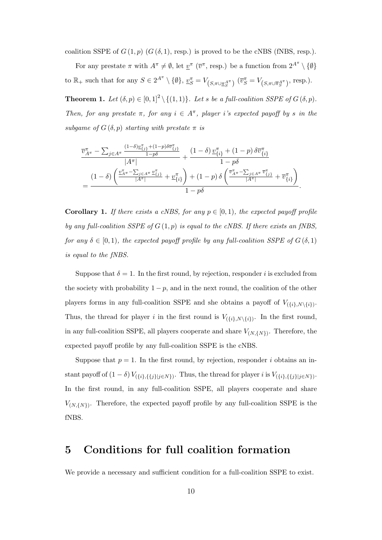coalition SSPE of  $G(1,p)$   $(G(\delta,1),$  resp.) is proved to be the cNBS (fNBS, resp.).

For any prestate  $\pi$  with  $A^{\pi} \neq \emptyset$ , let  $\underline{v}^{\pi}$  ( $\overline{v}^{\pi}$ , resp.) be a function from  $2^{A^{\pi}} \setminus {\emptyset}$ to  $\mathbb{R}_+$  such that for any  $S \in 2^{A^{\pi}} \setminus \{\emptyset\}, \underline{v_S^{\pi}} = V_{(S, \pi \cup \underline{\pi_S}^{A^{\pi}})} (\overline{v_S^{\pi}} = V_{(S, \pi \cup \overline{\pi_S}^{A^{\pi}})}, \text{resp.}).$ 

<span id="page-9-1"></span>**Theorem 1.** Let  $(\delta, p) \in [0, 1]^2 \setminus \{(1, 1)\}$ *. Let s be a full-coalition SSPE of*  $G(\delta, p)$ *. Then, for any prestate*  $\pi$ *, for any*  $i \in A^{\pi}$ *, player i*'s expected payoff by *s in the subgame of*  $G(\delta, p)$  *starting with prestate*  $\pi$  *is* 

$$
\frac{\overline{v}_{A^{\pi}}^{\pi} - \sum_{j \in A^{\pi}} \frac{(1-\delta) \underline{v}_{\{j\}}^{\pi} + (1-p) \delta \overline{v}_{\{j\}}^{\pi}}{1-p\delta}}{|\overline{A^{\pi}}|} + \frac{(1-\delta) \underline{v}_{\{i\}}^{\pi} + (1-p) \delta \overline{v}_{\{i\}}^{\pi}}{1-p\delta}
$$
\n
$$
= \frac{(1-\delta) \left( \frac{\underline{v}_{A^{\pi}}^{\pi} - \sum_{j \in A^{\pi}} \underline{v}_{\{j\}}^{\pi}}{|\overline{A^{\pi}}|} + \underline{v}_{\{i\}}^{\pi} \right) + (1-p) \delta \left( \frac{\overline{v}_{A^{\pi}}^{\pi} - \sum_{j \in A^{\pi}} \overline{v}_{\{j\}}^{\pi}}{|\overline{A^{\pi}}|} + \overline{v}_{\{i\}}^{\pi} \right)}{1-p\delta}.
$$

**Corollary 1.** If there exists a cNBS, for any  $p \in [0, 1)$ , the expected payoff profile *by any full-coalition SSPE of G* (1*, p*) *is equal to the cNBS. If there exists an fNBS, for any*  $\delta \in [0,1)$ *, the expected payoff profile by any full-coalition SSPE of*  $G(\delta,1)$ *is equal to the fNBS.*

Suppose that  $\delta = 1$ . In the first round, by rejection, responder *i* is excluded from the society with probability  $1 - p$ , and in the next round, the coalition of the other players forms in any full-coalition SSPE and she obtains a payoff of  $V_{(\{i\},N\setminus\{i\})}$ . Thus, the thread for player *i* in the first round is  $V_{(\{i\},N\setminus\{i\})}$ . In the first round, in any full-coalition SSPE, all players cooperate and share *V*(*N,{N}*) . Therefore, the expected payoff profile by any full-coalition SSPE is the cNBS.

Suppose that  $p = 1$ . In the first round, by rejection, responder *i* obtains an instant payoff of  $(1 - \delta) V_{(\{i\}, \{\{j\} | j \in N\})}$ . Thus, the thread for player i is  $V_{(\{i\}, \{\{j\} | j \in N\})}$ . In the first round, in any full-coalition SSPE, all players cooperate and share  $V_{(N,\{N\})}$ . Therefore, the expected payoff profile by any full-coalition SSPE is the fNBS.

### <span id="page-9-0"></span>**5 Conditions for full coalition formation**

We provide a necessary and sufficient condition for a full-coalition SSPE to exist.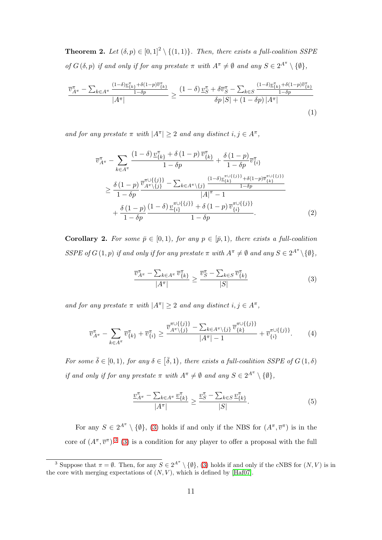<span id="page-10-3"></span>**Theorem 2.** Let  $(\delta, p) \in [0, 1]^2 \setminus \{(1, 1)\}$ *. Then, there exists a full-coalition SSPE of*  $G(\delta, p)$  *if and only if for any prestate*  $\pi$  *with*  $A^{\pi} \neq \emptyset$  *and any*  $S \in 2^{A^{\pi}} \setminus \{\emptyset\},$ 

$$
\frac{\overline{v}_{A^{\pi}}^{\pi} - \sum_{k \in A^{\pi}} \frac{(1-\delta)\underline{v}_{\{k\}}^{\pi} + \delta(1-p)\overline{v}_{\{k\}}^{\pi}}{|A^{\pi}|}}{|A^{\pi}|} \ge \frac{(1-\delta)\,\underline{v}_{S}^{\pi} + \delta\overline{v}_{S}^{\pi} - \sum_{k \in S} \frac{(1-\delta)\underline{v}_{\{k\}}^{\pi} + \delta(1-p)\overline{v}_{\{k\}}^{\pi}}{|1-\delta p|}}{\delta p\,|S| + (1-\delta p)\,|A^{\pi}|} \tag{1}
$$

*and for any prestate*  $\pi$  *with*  $|A^{\pi}| \geq 2$  *and any distinct*  $i, j \in A^{\pi}$ ,

<span id="page-10-5"></span>
$$
\overline{v}_{A^{\pi}}^{\pi} - \sum_{k \in A^{\pi}} \frac{(1 - \delta) \underline{v}_{\{k\}}^{\pi} + \delta (1 - p) \overline{v}_{\{k\}}^{\pi}}{1 - \delta p} + \frac{\delta (1 - p)}{1 - \delta p} \overline{v}_{\{i\}}^{\pi}}{1 - \delta p} \n\geq \frac{\delta (1 - p)}{1 - \delta p} \frac{\overline{v}_{A^{\pi} \setminus \{j\}}^{\pi \cup \{\{j\}\}} - \sum_{k \in A^{\pi} \setminus \{j\}} \frac{(1 - \delta) \underline{v}_{\{k\}}^{\pi \cup \{\{j\}\}} + \delta (1 - p) \overline{v}_{\{k\}}^{\pi \cup \{\{j\}\}}}{1 - \delta p}}{|\overline{A}|^{\pi} - 1} \n+ \frac{\delta (1 - p)}{1 - \delta p} \frac{(1 - \delta) \underline{v}_{\{i\}}^{\pi \cup \{\{j\}\}} + \delta (1 - p) \overline{v}_{\{i\}}^{\pi \cup \{\{j\}\}}}{1 - \delta p}.
$$
\n(2)

**Corollary 2.** For some  $\bar{p} \in [0,1)$ *, for any*  $p \in [\bar{p},1)$ *, there exists a full-coalition SSPE* of  $G(1, p)$  *if and only if for any prestate*  $\pi$  *with*  $A^{\pi} \neq \emptyset$  *and any*  $S \in 2^{A^{\pi}} \setminus \{\emptyset\},$ 

<span id="page-10-6"></span><span id="page-10-2"></span><span id="page-10-0"></span>
$$
\frac{\overline{v}_{A^{\pi}}^{\pi} - \sum_{k \in A^{\pi}} \overline{v}_{\{k\}}^{\pi}}{|A^{\pi}|} \ge \frac{\overline{v}_{S}^{\pi} - \sum_{k \in S} \overline{v}_{\{k\}}^{\pi}}{|S|}
$$
(3)

*and for any prestate*  $\pi$  *with*  $|A^{\pi}| \geq 2$  *and any distinct*  $i, j \in A^{\pi}$ ,

$$
\overline{v}_{A^{\pi}}^{\pi} - \sum_{k \in A^{\pi}} \overline{v}_{\{k\}}^{\pi} + \overline{v}_{\{i\}}^{\pi} \ge \frac{\overline{v}_{A^{\pi} \setminus \{j\}}^{\pi \cup \{\{j\}\}} - \sum_{k \in A^{\pi} \setminus \{j\}} \overline{v}_{\{k\}}^{\pi \cup \{\{j\}\}}}{|A^{\pi}| - 1} + \overline{v}_{\{i\}}^{\pi \cup \{\{j\}\}}.
$$
 (4)

*For some*  $\overline{\delta} \in [0,1)$ *, for any*  $\delta \in [\overline{\delta},1)$ *, there exists a full-coalition SSPE of*  $G(1,\delta)$ *if and only if for any prestate*  $\pi$  *with*  $A^{\pi} \neq \emptyset$  *and any*  $S \in 2^{A^{\pi}} \setminus \{\emptyset\},$ 

<span id="page-10-4"></span>
$$
\frac{\nu_{A^{\pi}}^{\pi} - \sum_{k \in A^{\pi}} \nu_{\{k\}}^{\pi}}{|A^{\pi}|} \ge \frac{\nu_S^{\pi} - \sum_{k \in S} \nu_{\{k\}}^{\pi}}{|S|}.
$$
\n(5)

For any  $S \in 2^{A^{\pi}} \setminus \{\emptyset\},\$  [\(3\)](#page-10-0) holds if and only if the NBS for  $(A^{\pi}, \overline{v}^{\pi})$  is in the core of  $(A^{\pi}, \overline{v}^{\pi})$ .<sup>[3](#page-10-1)</sup> [\(3\)](#page-10-0) is a condition for any player to offer a proposal with the full

<span id="page-10-1"></span><sup>&</sup>lt;sup>3</sup> Suppose that  $\pi = \emptyset$ . Then, for any  $S \in 2^{A^{\pi}} \setminus \{\emptyset\}$ , [\(3\)](#page-10-0) holds if and only if the cNBS for  $(N, V)$  is in the core with merging expectations of  $(N, V)$ , which is defined by [\[Haf07\]](#page-19-5).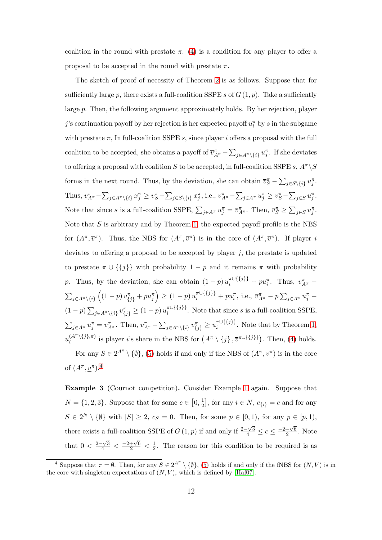coalition in the round with prestate  $\pi$ . [\(4\)](#page-10-2) is a condition for any player to offer a proposal to be accepted in the round with prestate  $\pi$ .

The sketch of proof of necessity of Theorem [2](#page-10-3) is as follows. Suppose that for sufficiently large p, there exists a full-coalition SSPE s of  $G(1, p)$ . Take a sufficiently large *p*. Then, the following argument approximately holds. By her rejection, player *j*'s continuation payoff by her rejection is her expected payoff  $u_i^{\pi}$  by *s* in the subgame with prestate  $\pi$ , In full-coalition SSPE *s*, since player *i* offers a proposal with the full coalition to be accepted, she obtains a payoff of  $\overline{v}_{A^{\pi}}^{\pi} - \sum_{j \in A^{\pi} \setminus \{i\}} u_j^{\pi}$ . If she deviates to offering a proposal with coalition *S* to be accepted, in full-coalition SSPE *s*,  $A^{\pi} \setminus S$ forms in the next round. Thus, by the deviation, she can obtain  $\overline{v}_S^{\pi} - \sum_{j \in S \setminus \{i\}} u_j^{\pi}$ . Thus,  $\overline{v}_{A^{\pi}}^{\pi} - \sum_{j \in A^{\pi} \setminus \{i\}} x_j^{\pi} \ge \overline{v}_{S}^{\pi} - \sum_{j \in S \setminus \{i\}} x_j^{\pi}$ , i.e.,  $\overline{v}_{A^{\pi}}^{\pi} - \sum_{j \in A^{\pi}} u_j^{\pi} \ge \overline{v}_{S}^{\pi} - \sum_{j \in S} u_j^{\pi}$ . Note that since s is a full-coalition SSPE,  $\sum_{j \in A^{\pi}} u_j^{\pi} = \overline{v}_{A^{\pi}}^{\pi}$ . Then,  $\overline{v}_{S}^{\pi} \ge \sum_{j \in S} u_j^{\pi}$ . Note that *S* is arbitrary and by Theorem [1,](#page-9-1) the expected payoff profile is the NBS for  $(A^{\pi}, \overline{v}^{\pi})$ . Thus, the NBS for  $(A^{\pi}, \overline{v}^{\pi})$  is in the core of  $(A^{\pi}, \overline{v}^{\pi})$ . If player *i* deviates to offering a proposal to be accepted by player *j*, the prestate is updated to prestate  $\pi \cup \{\{j\}\}\$  with probability  $1 - p$  and it remains  $\pi$  with probability *p*. Thus, by the deviation, she can obtain  $(1-p) u_i^{\pi \cup \{\{j\}\}} + p u_i^{\pi}$ . Thus,  $\overline{v}_{A^{\pi}}^{\pi}$  $\sum_{j\in A^{\pi}\setminus\{i\}}\left((1-p)\,v_{\{j\}}^{\pi}+pu_{j}^{\pi}\right)\geq(1-p)\,u_{i}^{\pi\cup\{\{j\}\}}+pu_{i}^{\pi},\,\text{i.e.,}\,\,\overline{v}_{A^{\pi}}^{\pi}-p\sum_{j\in A^{\pi}}u_{j}^{\pi}-p$  $(1-p)\sum_{j\in A^{\pi}\setminus\{i\}}v_{\{j\}}^{\pi}\geq (1-p)u_i^{\pi\cup\{\{j\}\}}$  $\sum_{i}^{n}$  (1*i*)<sup>*I*</sup>. Note that since *s* is a full-coalition SSPE,  $\sum_{j\in A^{\pi}} u_j^{\pi} = \overline{v}_{A^{\pi}}^{\pi}$ . Then,  $\overline{v}_{A^{\pi}}^{\pi} - \sum_{j\in A^{\pi}\setminus\{i\}} v_{\{j\}}^{\pi} \geq u_i^{\pi \cup \{\{j\}\}}$  $\int_i^{\pi\cup\{\{J\}\}}$ . Note that by Theorem [1,](#page-9-1)  $u_i^{(A^{\pi}\setminus\{j\},\pi)}$  $i^{(A^n \setminus \{j\}, \pi)}$  is player *i*'s share in the NBS for  $(A^{\pi} \setminus \{j\}, \overline{v}^{\pi \cup \{\{j\}\}})$ . Then, [\(4\)](#page-10-2) holds. For any  $S \in 2^{A^{\pi}} \setminus \{\emptyset\},$  [\(5\)](#page-10-4) holds if and only if the NBS of  $(A^{\pi}, \underline{v}^{\pi})$  is in the core

of  $(A^{\pi}, \underline{v}^{\pi}).^4$  $(A^{\pi}, \underline{v}^{\pi}).^4$ 

**Example 3** (Cournot competition)**.** Consider Example [1](#page-5-0) again. Suppose that  $N = \{1, 2, 3\}$ . Suppose that for some  $c \in [0, \frac{1}{2}]$  $\left[\frac{1}{2}\right]$ , for any  $i \in N$ ,  $c_{\{i\}} = c$  and for any  $S \in 2^N \setminus \{\emptyset\}$  with  $|S| \geq 2$ ,  $c_S = 0$ . Then, for some  $\overline{p} \in [0,1)$ , for any  $p \in [\overline{p}, 1)$ , there exists a full-coalition SSPE of *G* (1*, p*) if and only if  $\frac{2-\sqrt{3}}{4} \leq c \leq \frac{-2+\sqrt{6}}{2}$  $\frac{+\sqrt{6}}{2}$ . Note that  $0 < \frac{2-\sqrt{3}}{4} < \frac{-2+\sqrt{6}}{2} < \frac{1}{2}$  $\frac{1}{2}$ . The reason for this condition to be required is as

<span id="page-11-0"></span><sup>&</sup>lt;sup>4</sup> Suppose that  $\pi = \emptyset$ . Then, for any  $S \in 2^{A^{\pi}} \setminus \{\emptyset\}$ , [\(5\)](#page-10-4) holds if and only if the fNBS for  $(N, V)$  is in the core with singleton expectations of  $(N, V)$ , which is defined by [\[Haf07\]](#page-19-5).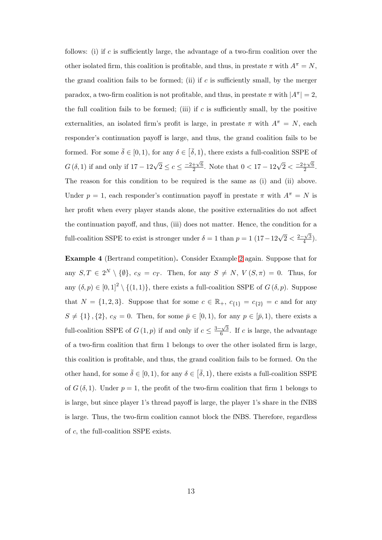follows: (i) if *c* is sufficiently large, the advantage of a two-firm coalition over the other isolated firm, this coalition is profitable, and thus, in prestate  $\pi$  with  $A^{\pi} = N$ , the grand coalition fails to be formed; (ii) if  $c$  is sufficiently small, by the merger paradox, a two-firm coalition is not profitable, and thus, in prestate  $\pi$  with  $|A^{\pi}| = 2$ , the full coalition fails to be formed; (iii) if *c* is sufficiently small, by the positive externalities, an isolated firm's profit is large, in prestate  $\pi$  with  $A^{\pi} = N$ , each responder's continuation payoff is large, and thus, the grand coalition fails to be formed. For some  $\bar{\delta} \in [0, 1)$ , for any  $\delta \in [\bar{\delta}, 1)$ , there exists a full-coalition SSPE of *G*( $\delta$ , 1) if and only if 17 − 12 $\sqrt{2}$  ≤  $c$  ≤  $\frac{-2+\sqrt{6}}{2}$  $\frac{+\sqrt{6}}{2}$ . Note that  $0 < 17 - 12\sqrt{2} < \frac{-2+\sqrt{6}}{2}$  $rac{+\sqrt{6}}{2}$ . The reason for this condition to be required is the same as (i) and (ii) above. Under  $p = 1$ , each responder's continuation payoff in prestate  $\pi$  with  $A^{\pi} = N$  is her profit when every player stands alone, the positive externalities do not affect the continuation payoff, and thus, (iii) does not matter. Hence, the condition for a full-coalition SSPE to exist is stronger under  $\delta = 1$  than  $p = 1$  (17*−*12 $\sqrt{2} < \frac{2-\sqrt{3}}{4}$ )  $\frac{-\sqrt{3}}{4}$ ).

**Example 4** (Bertrand competition)**.** Consider Example [2](#page-6-0) again. Suppose that for any  $S, T \in 2^N \setminus \{0\}, c_S = c_T$ . Then, for any  $S \neq N, V(S, \pi) = 0$ . Thus, for any  $(\delta, p) \in [0, 1]^2 \setminus \{(1, 1)\}\$ , there exists a full-coalition SSPE of  $G(\delta, p)$ . Suppose that  $N = \{1, 2, 3\}$ . Suppose that for some  $c \in \mathbb{R}_+$ ,  $c_{\{1\}} = c_{\{2\}} = c$  and for any  $S \neq \{1\}$ ,  $\{2\}$ ,  $c_S = 0$ . Then, for some  $\bar{p} \in [0, 1)$ , for any  $p \in [\bar{p}, 1)$ , there exists a full-coalition SSPE of  $G(1, p)$  if and only if  $c \leq \frac{3-\sqrt{3}}{6}$  $\frac{-\sqrt{3}}{6}$ . If *c* is large, the advantage of a two-firm coalition that firm 1 belongs to over the other isolated firm is large, this coalition is profitable, and thus, the grand coalition fails to be formed. On the other hand, for some  $\bar{\delta} \in [0, 1)$ , for any  $\delta \in [\bar{\delta}, 1)$ , there exists a full-coalition SSPE of  $G(\delta, 1)$ . Under  $p = 1$ , the profit of the two-firm coalition that firm 1 belongs to is large, but since player 1's thread payoff is large, the player 1's share in the fNBS is large. Thus, the two-firm coalition cannot block the fNBS. Therefore, regardless of *c*, the full-coalition SSPE exists.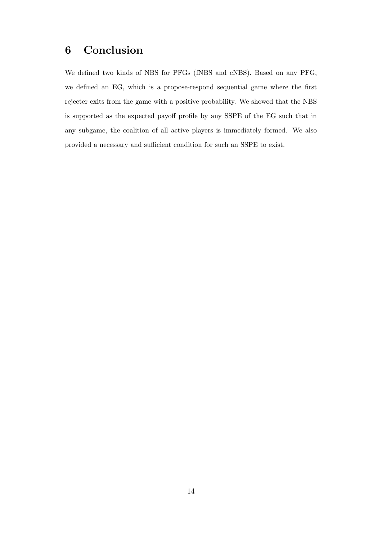# <span id="page-13-0"></span>**6 Conclusion**

We defined two kinds of NBS for PFGs (fNBS and cNBS). Based on any PFG, we defined an EG, which is a propose-respond sequential game where the first rejecter exits from the game with a positive probability. We showed that the NBS is supported as the expected payoff profile by any SSPE of the EG such that in any subgame, the coalition of all active players is immediately formed. We also provided a necessary and sufficient condition for such an SSPE to exist.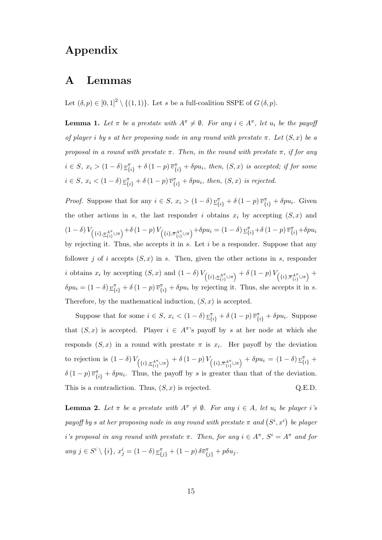# **Appendix**

### **A Lemmas**

Let  $(\delta, p) \in [0, 1]^2 \setminus \{(1, 1)\}\.$  Let *s* be a full-coalition SSPE of  $G(\delta, p)$ .

<span id="page-14-0"></span>**Lemma 1.** *Let*  $\pi$  *be a prestate with*  $A^{\pi} \neq \emptyset$ *. For any*  $i \in A^{\pi}$ *, let*  $u_i$  *be the payoff of player i by s at her proposing node in any round with prestate*  $\pi$ *. Let*  $(S, x)$  *be a proposal in a round with prestate*  $\pi$ *. Then, in the round with prestate*  $\pi$ *, if for any*  $i \in S$ ,  $x_i > (1 - \delta) \underline{v}_{\{i\}}^{\pi} + \delta (1 - p) \overline{v}_{\{i\}}^{\pi} + \delta p u_i$ , then,  $(S, x)$  is accepted; if for some  $i \in S$ ,  $x_i < (1 - \delta) \underline{v}_{\{i\}}^{\pi} + \delta (1 - p) \overline{v}_{\{i\}}^{\pi} + \delta p u_i$ , then,  $(S, x)$  is rejected.

*Proof.* Suppose that for any  $i \in S$ ,  $x_i > (1 - \delta) \underline{v}_{\{i\}}^{\pi} + \delta (1 - p) \overline{v}_{\{i\}}^{\pi} + \delta p u_i$ . Given the other actions in *s*, the last responder *i* obtains  $x_i$  by accepting  $(S, x)$  and  $(1-\delta)\,V_{\left(\{i\},\pi^{A^{\pi}}_{\{i\}}\cup\pi\right)}+\delta\,(1-p)\,V_{\left(\{i\},\overline{\pi}^{A^{\pi}}_{\{i\}}\cup\pi\right)}+\delta p u_i=(1-\delta)\,\underline{v}_{\{i\}}^{\pi}+\delta\,(1-p)\,\overline{v}_{\{i\}}^{\pi}+\delta p u_i$ by rejecting it. Thus, she accepts it in *s*. Let *i* be a responder. Suppose that any follower *j* of *i* accepts  $(S, x)$  in *s*. Then, given the other actions in *s*, responder *i* obtains  $x_i$  by accepting  $(S, x)$  and  $(1 - \delta) V_{\left(\{i\}, \pi^{A\pi}_{\{i\}} \cup \pi\right)} + \delta (1 - p) V_{\left(\{i\}, \pi^{A\pi}_{\{i\}} \cup \pi\right)} +$  $\delta p u_i = (1 - \delta) \underline{v}_{\{i\}}^{\pi} + \delta (1 - p) \overline{v}_{\{i\}}^{\pi} + \delta p u_i$  by rejecting it. Thus, she accepts it in s. Therefore, by the mathematical induction,  $(S, x)$  is accepted.

Suppose that for some  $i \in S$ ,  $x_i < (1 - \delta) \underline{v}_{\{i\}}^{\pi} + \delta (1 - p) \overline{v}_{\{i\}}^{\pi} + \delta p u_i$ . Suppose that  $(S, x)$  is accepted. Player  $i \in A^{\pi}$ 's payoff by *s* at her node at which she responds  $(S, x)$  in a round with prestate  $\pi$  is  $x_i$ . Her payoff by the deviation to rejection is  $(1 - \delta)V_{(\{i\}, \pi_{\{i\}}^{A^{\pi}} \cup \pi)} + \delta(1-p)V_{(\{i\}, \pi_{\{i\}}^{A^{\pi}} \cup \pi)} + \delta pu_i = (1 - \delta)\underline{v}_{\{i\}}^{\pi}$  $\delta(1-p)\overline{v}_{\{i\}}^{\pi} + \delta p u_i$ . Thus, the payoff by *s* is greater than that of the deviation. This is a contradiction. Thus,  $(S, x)$  is rejected.  $Q.E.D.$ 

<span id="page-14-1"></span>**Lemma 2.** Let  $\pi$  be a prestate with  $A^{\pi} \neq \emptyset$ . For any  $i \in A$ , let  $u_i$  be player *i*'s *payoff by s at her proposing node in any round with prestate*  $\pi$  *and*  $(S^i, x^i)$  *be player i*<sup>*'s*</sup> proposal in any round with prestate  $\pi$ . Then, for any  $i \in A^{\pi}$ ,  $S^{i} = A^{\pi}$  and for any  $j \in S^i \setminus \{i\}, x_j^i = (1 - \delta) \underline{v}_{\{j\}}^{\pi} + (1 - p) \delta \overline{v}_{\{j\}}^{\pi} + p \delta u_j.$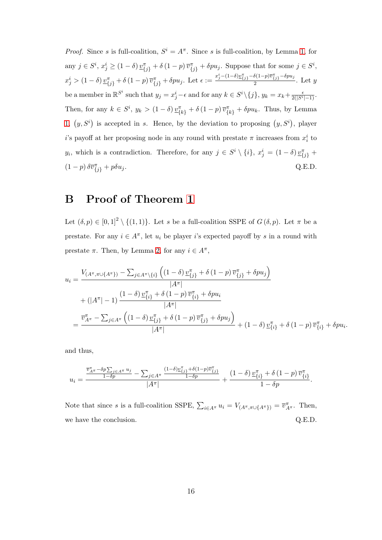*Proof.* Since *s* is full-coalition,  $S^i = A^{\pi}$ . Since *s* is full-coalition, by Lemma [1,](#page-14-0) for any  $j \in S^i$ ,  $x_j^i \ge (1 - \delta) \underline{v}_{\{j\}}^{\pi} + \delta (1 - p) \overline{v}_{\{j\}}^{\pi} + \delta p u_j$ . Suppose that for some  $j \in S^i$ ,  $x_j^i > (1 - \delta) \underline{v}_{\{j\}}^{\pi} + \delta (1 - p) \overline{v}_{\{j\}}^{\pi} + \delta p u_j$ . Let  $\epsilon := \frac{x_j^i - (1 - \delta) \underline{v}_{\{j\}}^{\pi} - \delta (1 - p) \overline{v}_{\{j\}}^{\pi} - \delta p u_j}{2}$  $\frac{2}{2}$ . Let *y* be a member in  $\mathbb{R}^{S^i}$  such that  $y_j = x_j^i - \epsilon$  and for any  $k \in S^i \setminus \{j\}, y_k = x_k + \frac{\epsilon}{2(|S^i| - 1)}$ . Then, for any  $k \in S^i$ ,  $y_k > (1 - \delta) \underline{v}_{\{k\}}^{\pi} + \delta (1 - p) \overline{v}_{\{k\}}^{\pi} + \delta p u_k$ . Thus, by Lemma [1,](#page-14-0)  $(y, S^i)$  is accepted in *s*. Hence, by the deviation to proposing  $(y, S^i)$ , player *i*'s payoff at her proposing node in any round with prestate  $\pi$  increases from  $x_i^i$  to *y*<sub>*i*</sub>, which is a contradiction. Therefore, for any  $j \in S^i \setminus \{i\}$ ,  $x_j^i = (1 - \delta) \underline{v}_{\{j\}}^{\pi}$  +  $(1-p)\delta \overline{v}_{\{j\}}^{\pi} + p\delta u_j.$  Q.E.D.

### **B Proof of Theorem [1](#page-9-1)**

Let  $(\delta, p) \in [0, 1]^2 \setminus \{(1, 1)\}\.$  Let *s* be a full-coalition SSPE of  $G(\delta, p)$ . Let  $\pi$  be a prestate. For any  $i \in A^{\pi}$ , let  $u_i$  be player *i*'s expected payoff by *s* in a round with prestate  $\pi$ . Then, by Lemma [2,](#page-14-1) for any  $i \in A^{\pi}$ ,

$$
u_{i} = \frac{V_{(A^{\pi}, \pi \cup \{A^{\pi}\})} - \sum_{j \in A^{\pi} \setminus \{i\}} \left( (1 - \delta) \frac{v_{\{j\}}^{\pi} + \delta (1 - p) \overline{v}_{\{j\}}^{\pi} + \delta p u_{j} \right)}{|A^{\pi}|} + (|A^{\pi}| - 1) \frac{(1 - \delta) \frac{v_{\{i\}}^{\pi} + \delta (1 - p) \overline{v}_{\{i\}}^{\pi} + \delta p u_{i}}{|A^{\pi}|}}{|A^{\pi}|} \\
= \frac{\overline{v}_{A^{\pi}}^{\pi} - \sum_{j \in A^{\pi}} \left( (1 - \delta) \frac{v_{\{j\}}^{\pi} + \delta (1 - p) \overline{v}_{\{j\}}^{\pi} + \delta p u_{j} \right)}{|A^{\pi}|} + (1 - \delta) \frac{v_{\{i\}}^{\pi} + \delta (1 - p) \overline{v}_{\{i\}}^{\pi} + \delta p u_{i}.
$$

and thus,

$$
u_i=\frac{\frac{\overline{v}_{A^{\pi}}^{\pi}-\delta p\sum_{j\in A^{\pi}}u_j}{1-\delta p}-\sum_{j\in A^{\pi}}\frac{(1-\delta)\underline{v}_{\{j\}}^{\pi}+\delta(1-p)\overline{v}_{\{j\}}^{\pi}}{1-\delta p}}{|A^{\pi}|}+\frac{(1-\delta)\,\underline{v}_{\{i\}}^{\pi}+\delta\,(1-p)\,\overline{v}_{\{i\}}^{\pi}}{1-\delta p}.
$$

Note that since *s* is a full-coalition SSPE,  $\sum_{i \in A^{\pi}} u_i = V_{(A^{\pi}, \pi \cup \{A^{\pi}\})} = \overline{v}_{A^{\pi}}^{\pi}$ . Then, we have the conclusion.  $Q.E.D.$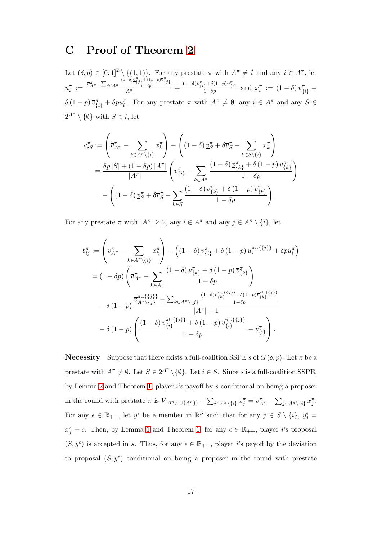### **C Proof of Theorem [2](#page-10-3)**

Let  $(\delta, p) \in [0, 1]^2 \setminus \{(1, 1)\}\.$  For any prestate  $\pi$  with  $A^{\pi} \neq \emptyset$  and any  $i \in A^{\pi}$ , let  $u_i^{\pi} := \frac{\overline{v}_{A^{\pi}}^{\pi} - \sum_{j \in A^{\pi}} \frac{(1-\delta) \underline{v}_{\{j\}}^{\pi} + \delta(1-p)\overline{v}_{\{j\}}^{\pi}}{1-\delta p}}{|\overline{A^{\pi}}|} + \frac{(1-\delta) \underline{v}_{\{i\}}^{\pi} + \delta(1-p)\overline{v}_{\{i\}}^{\pi}}{1-\delta p}$  and  $x_i^{\pi} := (1-\delta) \underline{v}_{\{i\}}^{\pi} +$  $\delta(1-p)\,\overline{v}_{\{i\}}^{\pi} + \delta p u_i^{\pi}$ . For any prestate  $\pi$  with  $A^{\pi} \neq \emptyset$ , any  $i \in A^{\pi}$  and any  $S \in$  $2^{A^{\pi}} \setminus {\emptyset}$  with  $S \ni i$ , let

$$
a_{iS}^{\pi} := \left(\overline{v}_{A^{\pi}}^{\pi} - \sum_{k \in A^{\pi} \setminus \{i\}} x_k^{\pi}\right) - \left((1 - \delta) \underline{v}_S^{\pi} + \delta \overline{v}_S^{\pi} - \sum_{k \in S \setminus \{i\}} x_k^{\pi}\right)
$$
  
= 
$$
\frac{\delta p |S| + (1 - \delta p) |A^{\pi}|}{|A^{\pi}|} \left(\overline{v}_{\{i\}}^{\pi} - \sum_{k \in A^{\pi}} \frac{(1 - \delta) \underline{v}_{\{k\}}^{\pi} + \delta (1 - p) \overline{v}_{\{k\}}^{\pi}}{1 - \delta p}\right)
$$
  
- 
$$
\left((1 - \delta) \underline{v}_S^{\pi} + \delta \overline{v}_S^{\pi} - \sum_{k \in S} \frac{(1 - \delta) \underline{v}_{\{k\}}^{\pi} + \delta (1 - p) \overline{v}_{\{k\}}^{\pi}}{1 - \delta p}\right).
$$

For any prestate  $\pi$  with  $|A^{\pi}| \geq 2$ , any  $i \in A^{\pi}$  and any  $j \in A^{\pi} \setminus \{i\}$ , let

$$
b_{ij}^{\pi} := \left(\overline{v}_{A^{\pi}}^{\pi} - \sum_{k \in A^{\pi} \setminus \{i\}} x_{k}^{\pi}\right) - \left((1 - \delta) \underline{v}_{\{i\}}^{\pi} + \delta (1 - p) u_{i}^{\pi \cup \{\{j\}\}} + \delta p u_{i}^{\pi}\right)
$$
  
\n
$$
= (1 - \delta p) \left(\overline{v}_{A^{\pi}}^{\pi} - \sum_{k \in A^{\pi}} \frac{(1 - \delta) \underline{v}_{\{k\}}^{\pi} + \delta (1 - p) \overline{v}_{\{k\}}^{\pi}}{1 - \delta p}\right)
$$
  
\n
$$
- \delta (1 - p) \frac{\overline{v}_{A^{\pi} \setminus \{j\}}^{\pi \cup \{\{j\}\}} - \sum_{k \in A^{\pi} \setminus \{j\}} \frac{(1 - \delta) \underline{v}_{\{k\}}^{\pi \cup \{\{j\}\}} + \delta (1 - p) \overline{v}_{\{k\}}^{\pi \cup \{\{j\}\}}}{1 - \delta p}
$$
  
\n
$$
- \delta (1 - p) \left(\frac{(1 - \delta) \underline{v}_{\{i\}}^{\pi \cup \{\{j\}\}} + \delta (1 - p) \overline{v}_{\{i\}}^{\pi \cup \{\{j\}\}}}{1 - \delta p} - v_{\{i\}}^{\pi}\right).
$$

**Necessity** Suppose that there exists a full-coalition SSPE *s* of  $G(\delta, p)$ . Let  $\pi$  be a prestate with  $A^{\pi} \neq \emptyset$ . Let  $S \in 2^{A^{\pi}} \setminus \{\emptyset\}$ . Let  $i \in S$ . Since *s* is a full-coalition SSPE, by Lemma [2](#page-14-1) and Theorem [1,](#page-9-1) player *i*'s payoff by *s* conditional on being a proposer in the round with prestate  $\pi$  is  $V_{(A^{\pi}, \pi \cup \{A^{\pi}\})} - \sum_{j \in A^{\pi} \setminus \{i\}} x_j^{\pi} = \overline{v}_{A^{\pi}}^{\pi} - \sum_{j \in A^{\pi} \setminus \{i\}} x_j^{\pi}$ . For any  $\epsilon \in \mathbb{R}_{++}$ , let  $y^{\epsilon}$  be a member in  $\mathbb{R}^S$  such that for any  $j \in S \setminus \{i\}$ ,  $y^{\epsilon}_j =$  $x_j^{\pi} + \epsilon$ . Then, by Lemma [1](#page-14-0) and Theorem [1,](#page-9-1) for any  $\epsilon \in \mathbb{R}_{++}$ , player *i*'s proposal  $(S, y^{\epsilon})$  is accepted in *s*. Thus, for any  $\epsilon \in \mathbb{R}_{++}$ , player *i*'s payoff by the deviation to proposal  $(S, y^{\epsilon})$  conditional on being a proposer in the round with prestate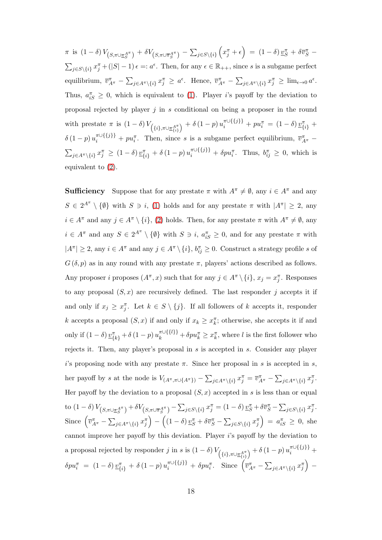$\pi$  is  $(1-\delta)\,V_{\left(S,\pi \cup \underline{\pi}_{S}^{A^{\pi}}\right)} + \delta V_{\left(S,\pi \cup \overline{\pi}_{S}^{A^{\pi}}\right)} - \sum_{j\in S\setminus\{i\}}\left(x_{j}^{\pi} + \epsilon\right) \;=\; (1-\delta)\,\underline{v}_{S}^{\pi} + \delta \overline{v}_{S}^{\pi} \;-\;$  $\sum_{j \in S \setminus \{i\}} x_j^{\pi} + (|S| - 1) \epsilon =: a^{\epsilon}$ . Then, for any  $\epsilon \in \mathbb{R}_{++}$ , since *s* is a subgame perfect equilibrium,  $\overline{v}_{A^{\pi}}^{\pi} - \sum_{j \in A^{\pi} \setminus \{i\}} x_j^{\pi} \ge a^{\epsilon}$ . Hence,  $\overline{v}_{A^{\pi}}^{\pi} - \sum_{j \in A^{\pi} \setminus \{i\}} x_j^{\pi} \ge \lim_{\epsilon \to 0} a^{\epsilon}$ . Thus,  $a_{iS}^{\pi} \geq 0$ , which is equivalent to [\(1\)](#page-10-5). Player *i*'s payoff by the deviation to proposal rejected by player *j* in *s* conditional on being a proposer in the round with prestate  $\pi$  is  $(1 - \delta) V_{\left(\{i\}, \pi \cup \underline{\pi}_{\{i\}}^{A^{\pi}}\right)} + \delta (1 - p) u_i^{\pi \cup \{\{j\}\}} + p u_i^{\pi} = (1 - \delta) \underline{v}_{\{i\}}^{\pi} +$  $\delta$  (1 *− p*)  $u_i^{\pi} \cup \{\{j\}\}\ + p u_i^{\pi}$ . Then, since *s* is a subgame perfect equilibrium,  $\overline{v}_{A^{\pi}}^{\pi}$  –  $\sum_{j\in A^{\pi}\setminus\{i\}} x_j^{\pi} \ge (1-\delta) \underline{v}_{\{i\}}^{\pi} + \delta (1-p) u_i^{\pi \cup \{\{j\}\}} + \delta p u_i^{\pi}$ . Thus,  $b_{ij}^{\pi} \ge 0$ , which is equivalent to [\(2\)](#page-10-6).

**Sufficiency** Suppose that for any prestate  $\pi$  with  $A^{\pi} \neq \emptyset$ , any  $i \in A^{\pi}$  and any  $S \in 2^{A^{\pi}} \setminus \{\emptyset\}$  with  $S \ni i$ , [\(1\)](#page-10-5) holds and for any prestate  $\pi$  with  $|A^{\pi}| \geq 2$ , any  $i \in A^{\pi}$  and any  $j \in A^{\pi} \setminus \{i\}$ , [\(2\)](#page-10-6) holds. Then, for any prestate  $\pi$  with  $A^{\pi} \neq \emptyset$ , any  $i \in A^{\pi}$  and any  $S \in 2^{A^{\pi}} \setminus \{\emptyset\}$  with  $S \ni i$ ,  $a_{iS}^{\pi} \geq 0$ , and for any prestate  $\pi$  with  $|A^{\pi}| \geq 2$ , any  $i \in A^{\pi}$  and any  $j \in A^{\pi} \setminus \{i\}, b_{ij}^{\pi} \geq 0$ . Construct a strategy profile s of  $G(\delta, p)$  as in any round with any prestate  $\pi$ , players' actions described as follows. Any proposer *i* proposes  $(A^{\pi}, x)$  such that for any  $j \in A^{\pi} \setminus \{i\}$ ,  $x_j = x_j^{\pi}$ . Responses to any proposal  $(S, x)$  are recursively defined. The last responder *j* accepts it if and only if  $x_j \ge x_j^{\pi}$ . Let  $k \in S \setminus \{j\}$ . If all followers of *k* accepts it, responder *k* accepts a proposal  $(S, x)$  if and only if  $x_k \geq x_k^{\pi}$ ; otherwise, she accepts it if and only if  $(1 - \delta) \underline{v}_{\{k\}}^{\pi} + \delta (1 - p) u_k^{\pi \cup {\{l\}\}} + \delta p u_k^{\pi} \geq x_k^{\pi}$ , where l is the first follower who rejects it. Then, any player's proposal in *s* is accepted in *s*. Consider any player *i*'s proposing node with any prestate  $\pi$ . Since her proposal in *s* is accepted in *s*, her payoff by s at the node is  $V_{(A^{\pi}, \pi \cup \{A^{\pi}\})} - \sum_{j \in A^{\pi} \setminus \{i\}} x_j^{\pi} = \overline{v}_{A^{\pi}}^{\pi} - \sum_{j \in A^{\pi} \setminus \{i\}} x_j^{\pi}$ . Her payoff by the deviation to a proposal  $(S, x)$  accepted in *s* is less than or equal to  $(1-\delta)V_{(S,\pi\cup \underline{\pi}_{S}^{A^{\pi}})} + \delta V_{(S,\pi\cup \overline{\pi}_{S}^{A^{\pi}})} - \sum_{j\in S\backslash\{i\}} x_{j}^{\pi} = (1-\delta) \underline{v}_{S}^{\pi} + \delta \overline{v}_{S}^{\pi} - \sum_{j\in S\backslash\{i\}} x_{j}^{\pi}$ . Since  $\left(\overline{v}_{A^{\pi}}^{\pi} - \sum_{j \in A^{\pi} \setminus \{i\}} x_j^{\pi}\right) - \left((1 - \delta) \underline{v}_{S}^{\pi} + \delta \overline{v}_{S}^{\pi} - \sum_{j \in S \setminus \{i\}} x_j^{\pi}\right) = a_{iS}^{\pi} \geq 0$ , she cannot improve her payoff by this deviation. Player *i*'s payoff by the deviation to a proposal rejected by responder j in s is  $(1 - \delta) V_{\left(\{i\}, \pi \cup \underline{\pi}_{\{i\}}^{A^{\pi}}\right)} + \delta (1 - p) u_i^{\pi \cup \{\{j\}\}} +$  $\delta p u_i^{\pi} = (1 - \delta) \underline{v}_{\{i\}}^{\pi} + \delta (1 - p) u_i^{\pi \cup \{\{j\}\}} + \delta p u_i^{\pi}.$  Since  $(\overline{v}_{A^{\pi}}^{\pi} - \sum_{j \in A^{\pi} \setminus \{i\}} x_j^{\pi}) -$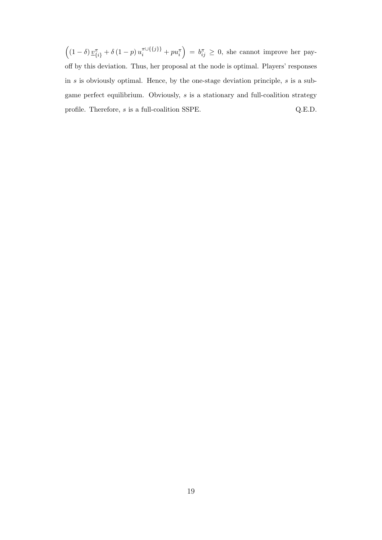$\left((1-\delta)\frac{v}{\{i\}} + \delta(1-p)\frac{u}{u}\left\{\{j\}\right\} + pu_{i}^{\pi}\right) = b_{ij}^{\pi} \geq 0$ , she cannot improve her payoff by this deviation. Thus, her proposal at the node is optimal. Players' responses in *s* is obviously optimal. Hence, by the one-stage deviation principle, *s* is a subgame perfect equilibrium. Obviously, *s* is a stationary and full-coalition strategy profile. Therefore, *s* is a full-coalition SSPE. Q.E.D.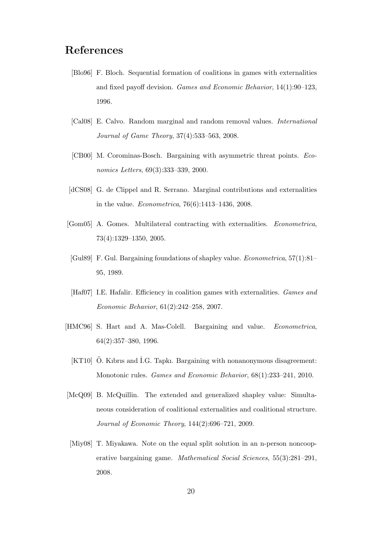## **References**

- <span id="page-19-10"></span>[Blo96] F. Bloch. Sequential formation of coalitions in games with externalities and fixed payoff devision. *Games and Economic Behavior*, 14(1):90–123, 1996.
- <span id="page-19-9"></span>[Cal08] E. Calvo. Random marginal and random removal values. *International Journal of Game Theory*, 37(4):533–563, 2008.
- <span id="page-19-7"></span>[CB00] M. Corominas-Bosch. Bargaining with asymmetric threat points. *Economics Letters*, 69(3):333–339, 2000.
- <span id="page-19-1"></span>[dCS08] G. de Clippel and R. Serrano. Marginal contributions and externalities in the value. *Econometrica*, 76(6):1413–1436, 2008.
- <span id="page-19-0"></span>[Gom05] A. Gomes. Multilateral contracting with externalities. *Econometrica*, 73(4):1329–1350, 2005.
- <span id="page-19-4"></span>[Gul89] F. Gul. Bargaining foundations of shapley value. *Econometrica*, 57(1):81– 95, 1989.
- <span id="page-19-5"></span>[Haf07] I.E. Hafalir. Efficiency in coalition games with externalities. *Games and Economic Behavior*, 61(2):242–258, 2007.
- <span id="page-19-6"></span><span id="page-19-3"></span>[HMC96] S. Hart and A. Mas-Colell. Bargaining and value. *Econometrica*, 64(2):357–380, 1996.
	- $[KT10]$   $\ddot{\mathrm{O}}$ . Kibris and I.G. Tapki. Bargaining with nonanonymous disagreement: Monotonic rules. *Games and Economic Behavior*, 68(1):233–241, 2010.
- <span id="page-19-2"></span>[McQ09] B. McQuillin. The extended and generalized shapley value: Simultaneous consideration of coalitional externalities and coalitional structure. *Journal of Economic Theory*, 144(2):696–721, 2009.
- <span id="page-19-8"></span>[Miy08] T. Miyakawa. Note on the equal split solution in an n-person noncooperative bargaining game. *Mathematical Social Sciences*, 55(3):281–291, 2008.